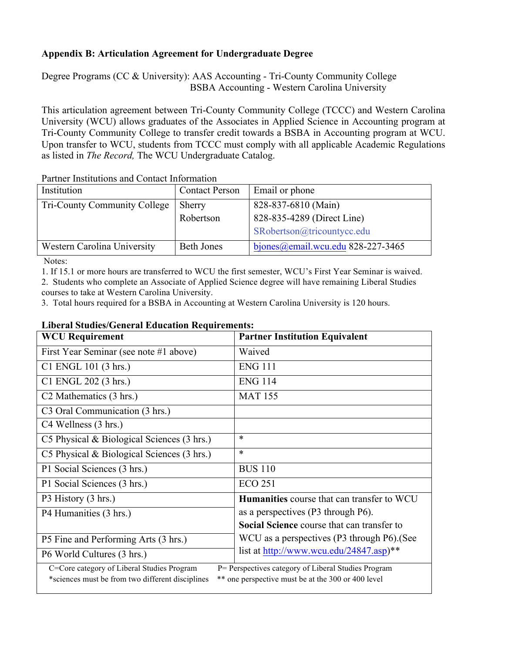## **Appendix B: Articulation Agreement for Undergraduate Degree**

Degree Programs (CC & University): AAS Accounting - Tri-County Community College BSBA Accounting - Western Carolina University

This articulation agreement between Tri-County Community College (TCCC) and Western Carolina University (WCU) allows graduates of the Associates in Applied Science in Accounting program at Tri-County Community College to transfer credit towards a BSBA in Accounting program at WCU. Upon transfer to WCU, students from TCCC must comply with all applicable Academic Regulations as listed in *The Record,* The WCU Undergraduate Catalog.

| Institution                         | <b>Contact Person</b> | Email or phone                    |  |  |
|-------------------------------------|-----------------------|-----------------------------------|--|--|
| <b>Tri-County Community College</b> | Sherry                | 828-837-6810 (Main)               |  |  |
|                                     | Robertson             | 828-835-4289 (Direct Line)        |  |  |
|                                     |                       | SRobertson@tricountycc.edu        |  |  |
| Western Carolina University         | <b>Beth Jones</b>     | bjones@email.wcu.edu 828-227-3465 |  |  |
|                                     |                       |                                   |  |  |

Partner Institutions and Contact Information

Notes:

1. If 15.1 or more hours are transferred to WCU the first semester, WCU's First Year Seminar is waived.

2. Students who complete an Associate of Applied Science degree will have remaining Liberal Studies courses to take at Western Carolina University.

3. Total hours required for a BSBA in Accounting at Western Carolina University is 120 hours.

## **Liberal Studies/General Education Requirements:**

| <b>WCU Requirement</b>                                                                                                                                                                                      | <b>Partner Institution Equivalent</b>             |  |  |  |
|-------------------------------------------------------------------------------------------------------------------------------------------------------------------------------------------------------------|---------------------------------------------------|--|--|--|
| First Year Seminar (see note #1 above)                                                                                                                                                                      | Waived                                            |  |  |  |
| C1 ENGL 101 (3 hrs.)                                                                                                                                                                                        | <b>ENG 111</b>                                    |  |  |  |
| C1 ENGL 202 (3 hrs.)                                                                                                                                                                                        | <b>ENG 114</b>                                    |  |  |  |
| C <sub>2</sub> Mathematics (3 hrs.)                                                                                                                                                                         | <b>MAT 155</b>                                    |  |  |  |
| C <sub>3</sub> Oral Communication (3 hrs.)                                                                                                                                                                  |                                                   |  |  |  |
| C4 Wellness (3 hrs.)                                                                                                                                                                                        |                                                   |  |  |  |
| C5 Physical & Biological Sciences (3 hrs.)                                                                                                                                                                  | $\ast$                                            |  |  |  |
| C5 Physical & Biological Sciences (3 hrs.)                                                                                                                                                                  | $\ast$                                            |  |  |  |
| P1 Social Sciences (3 hrs.)                                                                                                                                                                                 | <b>BUS 110</b>                                    |  |  |  |
| P1 Social Sciences (3 hrs.)                                                                                                                                                                                 | <b>ECO 251</b>                                    |  |  |  |
| P3 History (3 hrs.)                                                                                                                                                                                         | <b>Humanities</b> course that can transfer to WCU |  |  |  |
| P4 Humanities (3 hrs.)                                                                                                                                                                                      | as a perspectives (P3 through P6).                |  |  |  |
|                                                                                                                                                                                                             | Social Science course that can transfer to        |  |  |  |
| P5 Fine and Performing Arts (3 hrs.)                                                                                                                                                                        | WCU as a perspectives (P3 through P6). (See       |  |  |  |
| P6 World Cultures (3 hrs.)                                                                                                                                                                                  | list at http://www.wcu.edu/24847.asp)**           |  |  |  |
| C=Core category of Liberal Studies Program<br>P= Perspectives category of Liberal Studies Program<br>*sciences must be from two different disciplines<br>** one perspective must be at the 300 or 400 level |                                                   |  |  |  |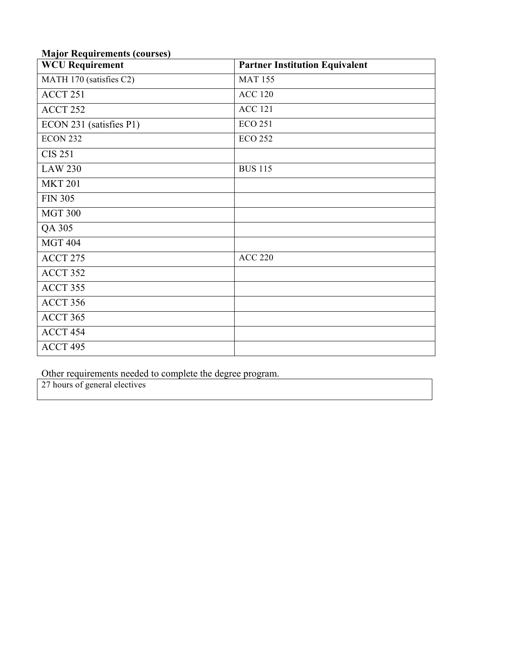|  |  | <b>Major Requirements (courses)</b> |  |  |
|--|--|-------------------------------------|--|--|
|--|--|-------------------------------------|--|--|

| итајог тедин спісніз (courses)<br><b>WCU Requirement</b> | <b>Partner Institution Equivalent</b> |
|----------------------------------------------------------|---------------------------------------|
| MATH 170 (satisfies C2)                                  | <b>MAT 155</b>                        |
| ACCT 251                                                 | <b>ACC 120</b>                        |
| ACCT 252                                                 | <b>ACC 121</b>                        |
| ECON 231 (satisfies P1)                                  | <b>ECO 251</b>                        |
| ECON 232                                                 | <b>ECO 252</b>                        |
| <b>CIS 251</b>                                           |                                       |
| <b>LAW 230</b>                                           | <b>BUS 115</b>                        |
| <b>MKT 201</b>                                           |                                       |
| <b>FIN 305</b>                                           |                                       |
| <b>MGT 300</b>                                           |                                       |
| QA 305                                                   |                                       |
| <b>MGT 404</b>                                           |                                       |
| ACCT 275                                                 | <b>ACC 220</b>                        |
| ACCT 352                                                 |                                       |
| ACCT 355                                                 |                                       |
| ACCT 356                                                 |                                       |
| ACCT 365                                                 |                                       |
| ACCT 454                                                 |                                       |
| ACCT 495                                                 |                                       |

Other requirements needed to complete the degree program.

27 hours of general electives